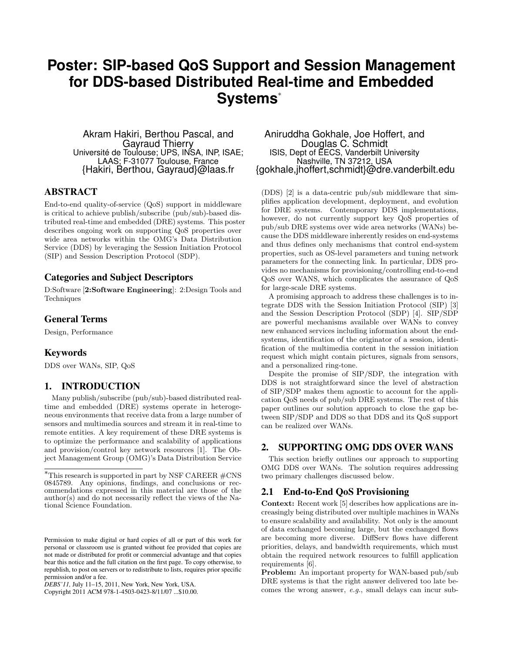# **Poster: SIP-based QoS Support and Session Management for DDS-based Distributed Real-time and Embedded Systems***<sup>∗</sup>*

Akram Hakiri, Berthou Pascal, and Gayraud Thierry Université de Toulouse; UPS, INSA, INP, ISAE; LAAS; F-31077 Toulouse, France {Hakiri, Berthou, Gayraud}@laas.fr

#### ABSTRACT

End-to-end quality-of-service (QoS) support in middleware is critical to achieve publish/subscribe (pub/sub)-based distributed real-time and embedded (DRE) systems. This poster describes ongoing work on supporting QoS properties over wide area networks within the OMG's Data Distribution Service (DDS) by leveraging the Session Initiation Protocol (SIP) and Session Description Protocol (SDP).

#### Categories and Subject Descriptors

D:Software [**2:Software Engineering**]: 2:Design Tools and Techniques

#### General Terms

Design, Performance

#### Keywords

DDS over WANs, SIP, QoS

## 1. INTRODUCTION

Many publish/subscribe (pub/sub)-based distributed realtime and embedded (DRE) systems operate in heterogeneous environments that receive data from a large number of sensors and multimedia sources and stream it in real-time to remote entities. A key requirement of these DRE systems is to optimize the performance and scalability of applications and provision/control key network resources [1]. The Object Management Group (OMG)'s Data Distribution Service

Copyright 2011 ACM 978-1-4503-0423-8/11/07 ...\$10.00.

Aniruddha Gokhale, Joe Hoffert, and Douglas C. Schmidt ISIS, Dept of EECS, Vanderbilt University Nashville, TN 37212, USA {gokhale,jhoffert,schmidt}@dre.vanderbilt.edu

(DDS) [2] is a data-centric pub/sub middleware that simplifies application development, deployment, and evolution for DRE systems. Contemporary DDS implementations, however, do not currently support key QoS properties of pub/sub DRE systems over wide area networks (WANs) because the DDS middleware inherently resides on end-systems and thus defines only mechanisms that control end-system properties, such as OS-level parameters and tuning network parameters for the connecting link. In particular, DDS provides no mechanisms for provisioning/controlling end-to-end QoS over WANS, which complicates the assurance of QoS for large-scale DRE systems.

A promising approach to address these challenges is to integrate DDS with the Session Initiation Protocol (SIP) [3] and the Session Description Protocol (SDP) [4]. SIP/SDP are powerful mechanisms available over WANs to convey new enhanced services including information about the endsystems, identification of the originator of a session, identification of the multimedia content in the session initiation request which might contain pictures, signals from sensors, and a personalized ring-tone.

Despite the promise of SIP/SDP, the integration with DDS is not straightforward since the level of abstraction of SIP/SDP makes them agnostic to account for the application QoS needs of pub/sub DRE systems. The rest of this paper outlines our solution approach to close the gap between SIP/SDP and DDS so that DDS and its QoS support can be realized over WANs.

#### 2. SUPPORTING OMG DDS OVER WANS

This section briefly outlines our approach to supporting OMG DDS over WANs. The solution requires addressing two primary challenges discussed below.

#### 2.1 End-to-End QoS Provisioning

**Context:** Recent work [5] describes how applications are increasingly being distributed over multiple machines in WANs to ensure scalability and availability. Not only is the amount of data exchanged becoming large, but the exchanged flows are becoming more diverse. DiffServ flows have different priorities, delays, and bandwidth requirements, which must obtain the required network resources to fulfill application requirements [6].

**Problem:** An important property for WAN-based pub/sub DRE systems is that the right answer delivered too late becomes the wrong answer, *e.g.*, small delays can incur sub-

*<sup>∗</sup>*This research is supported in part by NSF CAREER #CNS 0845789. Any opinions, findings, and conclusions or recommendations expressed in this material are those of the author(s) and do not necessarily reflect the views of the National Science Foundation.

Permission to make digital or hard copies of all or part of this work for personal or classroom use is granted without fee provided that copies are not made or distributed for profit or commercial advantage and that copies bear this notice and the full citation on the first page. To copy otherwise, to republish, to post on servers or to redistribute to lists, requires prior specific permission and/or a fee.

*DEBS'11,* July 11–15, 2011, New York, New York, USA.